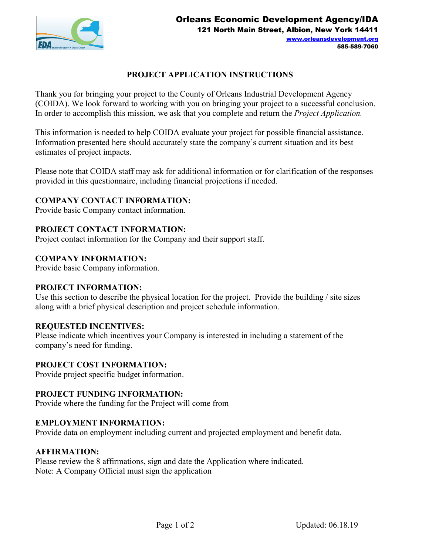

# **PROJECT APPLICATION INSTRUCTIONS**

Thank you for bringing your project to the County of Orleans Industrial Development Agency (COIDA). We look forward to working with you on bringing your project to a successful conclusion. In order to accomplish this mission, we ask that you complete and return the *Project Application.* 

This information is needed to help COIDA evaluate your project for possible financial assistance. Information presented here should accurately state the company's current situation and its best estimates of project impacts.

Please note that COIDA staff may ask for additional information or for clarification of the responses provided in this questionnaire, including financial projections if needed.

## **COMPANY CONTACT INFORMATION:**

Provide basic Company contact information.

## **PROJECT CONTACT INFORMATION:**

Project contact information for the Company and their support staff.

## **COMPANY INFORMATION:**

Provide basic Company information.

## **PROJECT INFORMATION:**

Use this section to describe the physical location for the project. Provide the building / site sizes along with a brief physical description and project schedule information.

#### **REQUESTED INCENTIVES:**

Please indicate which incentives your Company is interested in including a statement of the company's need for funding.

#### **PROJECT COST INFORMATION:**

Provide project specific budget information.

#### **PROJECT FUNDING INFORMATION:**

Provide where the funding for the Project will come from

#### **EMPLOYMENT INFORMATION:**

Provide data on employment including current and projected employment and benefit data.

#### **AFFIRMATION:**

Please review the 8 affirmations, sign and date the Application where indicated. Note: A Company Official must sign the application